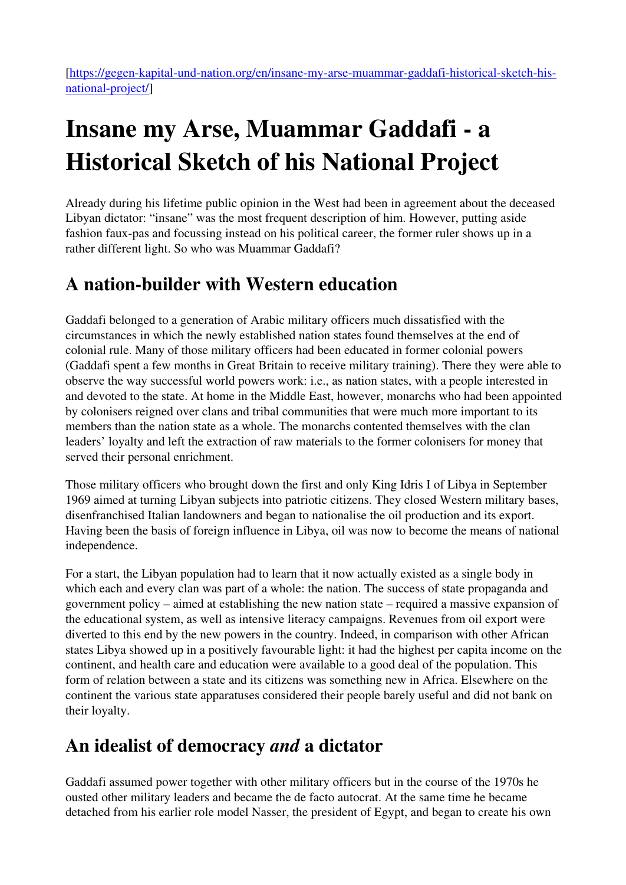# Insane my Arse, Muammar Gaddafi - a Historical Sketch of his National Project

Already during his lifetime public opinion in the West had been in agreement about the deceased Libyan dictator: "insane" was the most frequent description of him. However, putting aside fashion faux-pas and focussing instead on his political career, the former ruler shows up in a rather different light. So who was Muammar Gaddafi?

## A nation-builder with Western education

Gaddafi belonged to a generation of Arabic military officers much dissatisfied with the circumstances in which the newly established nation states found themselves at the end of colonial rule. Many of those military officers had been educated in former colonial powers (Gaddafi spent a few months in Great Britain to receive military training). There they were able to observe the way successful world powers work: i.e., as nation states, with a people interested in and devoted to the state. At home in the Middle East, however, monarchs who had been appointed by colonisers reigned over clans and tribal communities that were much more important to its members than the nation state as a whole. The monarchs contented themselves with the clan leaders' loyalty and left the extraction of raw materials to the former colonisers for money that served their personal enrichment.

Those military officers who brought down the first and only King Idris I of Libya in September 1969 aimed at turning Libyan subjects into patriotic citizens. They closed Western military bases, disenfranchised Italian landowners and began to nationalise the oil production and its export. Having been the basis of foreign influence in Libya, oil was now to become the means of national independence.

For a start, the Libyan population had to learn that it now actually existed as a single body in which each and every clan was part of a whole: the nation. The success of state propaganda and government policy – aimed at establishing the new nation state – required a massive expansion of the educational system, as well as intensive literacy campaigns. Revenues from oil export were diverted to this end by the new powers in the country. Indeed, in comparison with other African states Libya showed up in a positively favourable light: it had the highest per capita income on the continent, and health care and education were available to a good deal of the population. This form of relation between a state and its citizens was something new in Africa. Elsewhere on the continent the various state apparatuses considered their people barely useful and did not bank on their loyalty.

## An idealist of democracy and a dictator

Gaddafi assumed power together with other military officers but in the course of the 1970s he ousted other military leaders and became the de facto autocrat. At the same time he became detached from his earlier role model Nasser, the president of Egypt, and began to create his own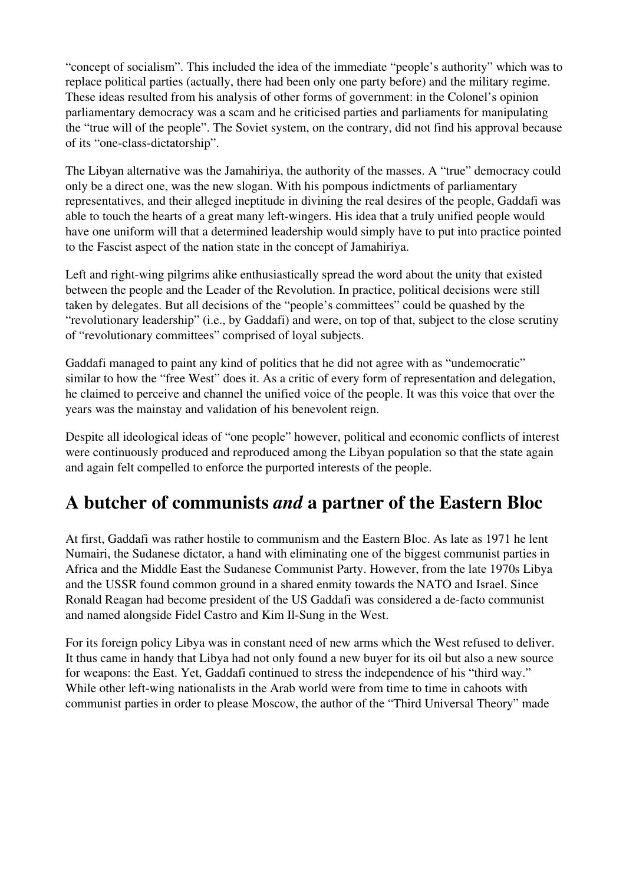"concept of socialism". This included the idea of the immediate "people's authority" which was to replace political parties (actually, there had been only one party before) and the military regime. These ideas resulted from his analysis of other forms of government: in the Colonel's opinion parliamentary democracy was a scam and he criticised parties and parliaments for manipulating the "true will of the people". The Soviet system, on the contrary, did not find his approval because of its "one-class-dictatorship".

The Libyan alternative was the Jamahiriya, the authority of the masses. A "true" democracy could only be a direct one, was the new slogan. With his pompous indictments of parliamentary representatives, and their alleged ineptitude in divining the real desires of the people, Gaddafi was able to touch the hearts of a great many left-wingers. His idea that a truly unified people would have one uniform will that a determined leadership would simply have to put into practice pointed to the Fascist aspect of the nation state in the concept of Jamahiriya.

Left and right-wing pilgrims alike enthusiastically spread the word about the unity that existed between the people and the Leader of the Revolution. In practice, political decisions were still taken by delegates. But all decisions of the "people's committees" could be quashed by the "revolutionary leadership" (i.e., by Gaddafi) and were, on top of that, subject to the close scrutiny of "revolutionary committees" comprised of loyal subjects.

Gaddafi managed to paint any kind of politics that he did not agree with as "undemocratic" similar to how the "free West" does it. As a critic of every form of representation and delegation, he claimed to perceive and channel the unified voice of the people. It was this voice that over the years was the mainstay and validation of his benevolent reign.

Despite all ideological ideas of "one people" however, political and economic conflicts of interest were continuously produced and reproduced among the Libyan population so that the state again and again felt compelled to enforce the purported interests of the people.

## A butcher of communists and a partner of the Eastern Bloc

At first, Gaddafi was rather hostile to communism and the Eastern Bloc. As late as 1971 he lent Numairi, the Sudanese dictator, a hand with eliminating one of the biggest communist parties in Africa and the Middle East the Sudanese Communist Party. However, from the late 1970s Libya and the USSR found common ground in a shared enmity towards the NATO and Israel. Since Ronald Reagan had become president of the US Gaddafi was considered a de-facto communist and named alongside Fidel Castro and Kim Il-Sung in the West.

For its foreign policy Libya was in constant need of new arms which the West refused to deliver. It thus came in handy that Libya had not only found a new buyer for its oil but also a new source for weapons: the East. Yet, Gaddafi continued to stress the independence of his "third way." While other left-wing nationalists in the Arab world were from time to time in cahoots with communist parties in order to please Moscow, the author of the "Third Universal Theory" made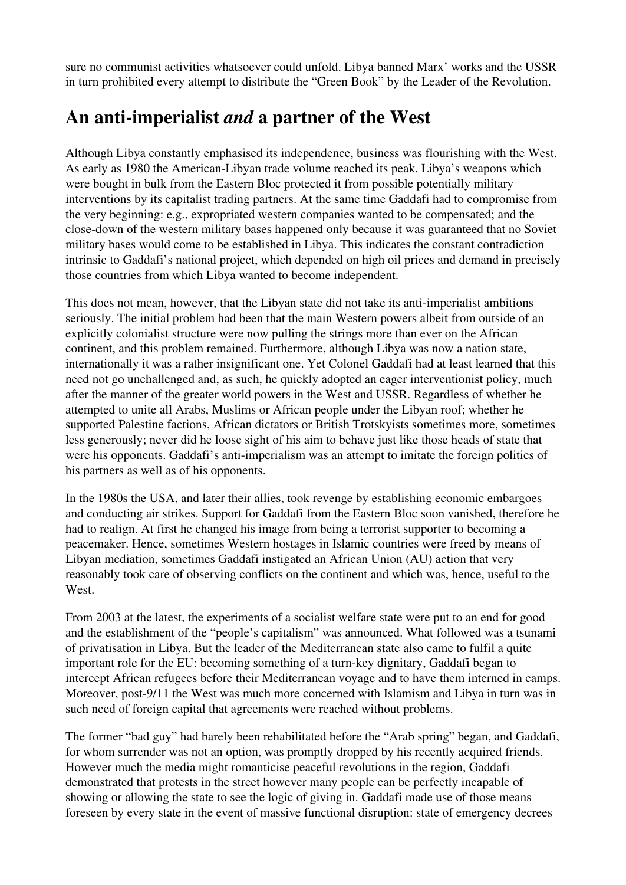sure no communist activities whatsoever could unfold. Libya banned Marx' works and the USSR in turn prohibited every attempt to distribute the "Green Book" by the Leader of the Revolution.

### An anti-imperialist and a partner of the West

Although Libya constantly emphasised its independence, business was flourishing with the West. As early as 1980 the American-Libyan trade volume reached its peak. Libya's weapons which were bought in bulk from the Eastern Bloc protected it from possible potentially military interventions by its capitalist trading partners. At the same time Gaddafi had to compromise from the very beginning: e.g., expropriated western companies wanted to be compensated; and the close-down of the western military bases happened only because it was guaranteed that no Soviet military bases would come to be established in Libya. This indicates the constant contradiction intrinsic to Gaddafi's national project, which depended on high oil prices and demand in precisely those countries from which Libya wanted to become independent.

This does not mean, however, that the Libyan state did not take its anti-imperialist ambitions seriously. The initial problem had been that the main Western powers albeit from outside of an explicitly colonialist structure were now pulling the strings more than ever on the African continent, and this problem remained. Furthermore, although Libya was now a nation state, internationally it was a rather insignificant one. Yet Colonel Gaddafi had at least learned that this need not go unchallenged and, as such, he quickly adopted an eager interventionist policy, much after the manner of the greater world powers in the West and USSR. Regardless of whether he attempted to unite all Arabs, Muslims or African people under the Libyan roof; whether he supported Palestine factions, African dictators or British Trotskyists sometimes more, sometimes less generously; never did he loose sight of his aim to behave just like those heads of state that were his opponents. Gaddafi's anti-imperialism was an attempt to imitate the foreign politics of his partners as well as of his opponents.

In the 1980s the USA, and later their allies, took revenge by establishing economic embargoes and conducting air strikes. Support for Gaddafi from the Eastern Bloc soon vanished, therefore he had to realign. At first he changed his image from being a terrorist supporter to becoming a peacemaker. Hence, sometimes Western hostages in Islamic countries were freed by means of Libyan mediation, sometimes Gaddafi instigated an African Union (AU) action that very reasonably took care of observing conflicts on the continent and which was, hence, useful to the West.

From 2003 at the latest, the experiments of a socialist welfare state were put to an end for good and the establishment of the "people's capitalism" was announced. What followed was a tsunami of privatisation in Libya. But the leader of the Mediterranean state also came to fulfil a quite important role for the EU: becoming something of a turn-key dignitary, Gaddafi began to intercept African refugees before their Mediterranean voyage and to have them interned in camps. Moreover, post-9/11 the West was much more concerned with Islamism and Libya in turn was in such need of foreign capital that agreements were reached without problems.

The former "bad guy" had barely been rehabilitated before the "Arab spring" began, and Gaddafi, for whom surrender was not an option, was promptly dropped by his recently acquired friends. However much the media might romanticise peaceful revolutions in the region, Gaddafi demonstrated that protests in the street however many people can be perfectly incapable of showing or allowing the state to see the logic of giving in. Gaddafi made use of those means foreseen by every state in the event of massive functional disruption: state of emergency decrees